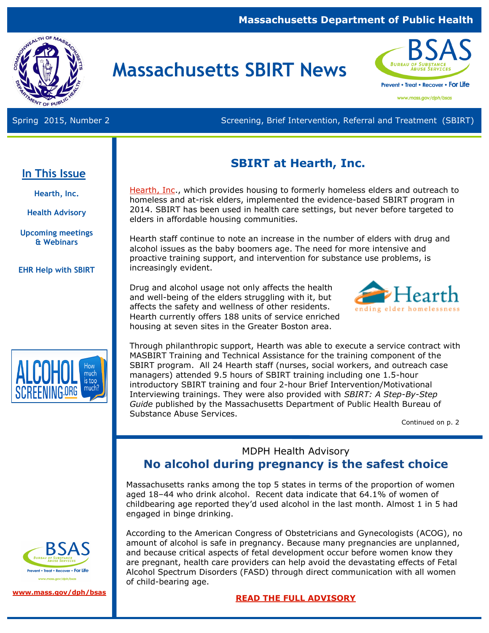#### **Massachusetts Department of Public Health**



# **Massachusetts SBIRT News**



www.mass.gov/dph/bsas

Spring 2015, Number 2 Screening, Brief Intervention, Referral and Treatment (SBIRT)

## **In This Issue**

**Hearth, Inc.** 

**Health Advisory**

**Upcoming meetings & Webinars**

**EHR Help with SBIRT** 

## **SBIRT at Hearth, Inc.**

[Hearth, Inc.,](http://hearthinc.squarespace.com/) which provides housing to formerly homeless elders and outreach to homeless and at-risk elders, implemented the evidence-based SBIRT program in 2014. SBIRT has been used in health care settings, but never before targeted to elders in affordable housing communities.

Hearth staff continue to note an increase in the number of elders with drug and alcohol issues as the baby boomers age. The need for more intensive and proactive training support, and intervention for substance use problems, is increasingly evident.

Drug and alcohol usage not only affects the health and well-being of the elders struggling with it, but affects the safety and wellness of other residents. Hearth currently offers 188 units of service enriched housing at seven sites in the Greater Boston area.





Through philanthropic support, Hearth was able to execute a service contract with MASBIRT Training and Technical Assistance for the training component of the SBIRT program. All 24 Hearth staff (nurses, social workers, and outreach case managers) attended 9.5 hours of SBIRT training including one 1.5-hour introductory SBIRT training and four 2-hour Brief Intervention/Motivational Interviewing trainings. They were also provided with *SBIRT: A Step-By-Step Guide* published by the Massachusetts Department of Public Health Bureau of Substance Abuse Services.

Continued on p. 2

## MDPH Health Advisory **No alcohol during pregnancy is the safest choice**

Massachusetts ranks among the top 5 states in terms of the proportion of women aged 18–44 who drink alcohol. Recent data indicate that 64.1% of women of childbearing age reported they'd used alcohol in the last month. Almost 1 in 5 had engaged in binge drinking.



**[www.mass.gov/dph/bsas](http://www.mass.gov/dph/bsas)**

According to the American Congress of Obstetricians and Gynecologists (ACOG), no amount of alcohol is safe in pregnancy. Because many pregnancies are unplanned, and because critical aspects of fetal development occur before women know they are pregnant, health care providers can help avoid the devastating effects of Fetal Alcohol Spectrum Disorders (FASD) through direct communication with all women of child-bearing age.

**[READ THE FULL ADVISORY](http://www.mass.gov/eohhs/docs/dph/substance-abuse/360dp-fasd-11032014.pdf)**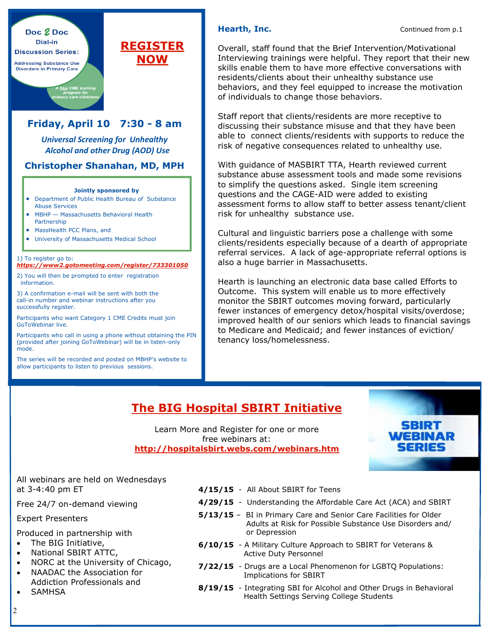

Overall, staff found that the Brief Intervention/Motivational Interviewing trainings were helpful. They report that their new skills enable them to have more effective conversations with residents/clients about their unhealthy substance use behaviors, and they feel equipped to increase the motivation of individuals to change those behaviors.

Staff report that clients/residents are more receptive to discussing their substance misuse and that they have been able to connect clients/residents with supports to reduce the risk of negative consequences related to unhealthy use.

With guidance of MASBIRT TTA, Hearth reviewed current substance abuse assessment tools and made some revisions to simplify the questions asked. Single item screening questions and the CAGE-AID were added to existing assessment forms to allow staff to better assess tenant/client risk for unhealthy substance use.

Cultural and linguistic barriers pose a challenge with some clients/residents especially because of a dearth of appropriate referral services. A lack of age-appropriate referral options is also a huge barrier in Massachusetts.

Hearth is launching an electronic data base called Efforts to Outcome. This system will enable us to more effectively monitor the SBIRT outcomes moving forward, particularly fewer instances of emergency detox/hospital visits/overdose; improved health of our seniors which leads to financial savings to Medicare and Medicaid; and fewer instances of eviction/ tenancy loss/homelessness.

## **[The BIG Hospital SBIRT Initiative](http://hospitalsbirt.webs.com/webinars.htm)**

Learn More and Register for one or more free webinars at:  **<http://hospitalsbirt.webs.com/webinars.htm>**



All webinars are held on Wednesdays at 3-4:40 pm ET

Free 24/7 on-demand viewing

Expert Presenters

Produced in partnership with

- The BIG Initiative,
- National SBIRT ATTC,
- NORC at the University of Chicago,
- NAADAC the Association for Addiction Professionals and
- SAMHSA

2

- **4/15/15**  [All About SBIRT for Teens](http://hospitalsbirt.webs.com/sbirt-for-teens)
- **4/29/15**  [Understanding the Affordable Care Act \(ACA\) and SBIRT](http://hospitalsbirt.webs.com/aca-sbirt)
- **5/13/15**  BI in Primary Care and Senior Care Facilities for Older Adults at Risk for Possible Substance Use Disorders and/ or Depression
- **6/10/15**  [A Military Culture Approach to SBIRT for Veterans &](http://hospitalsbirt.webs.com/sbirt-military)   [Active Duty Personnel](http://hospitalsbirt.webs.com/sbirt-military)
- **7/22/15**  [Drugs are a Local Phenomenon for LGBTQ Populations:](http://hospitalsbirt.webs.com/sbirt-lgbt)   [Implications for SBIRT](http://hospitalsbirt.webs.com/sbirt-lgbt)
- **8/19/15**  [Integrating SBI for Alcohol and Other Drugs in Behavioral](http://hospitalsbirt.webs.com/college-students-sbirt)  [Health Settings Serving College Students](http://hospitalsbirt.webs.com/college-students-sbirt)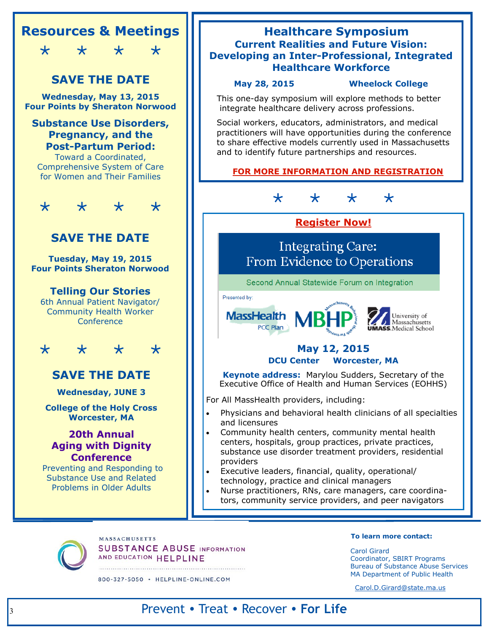

800-327-5050 · HELPLINE-ONLINE.COM

MA Department of Public Health [Carol.D.Girard@state.ma.us](mailto:Carol.D.Girard@state.ma.us)